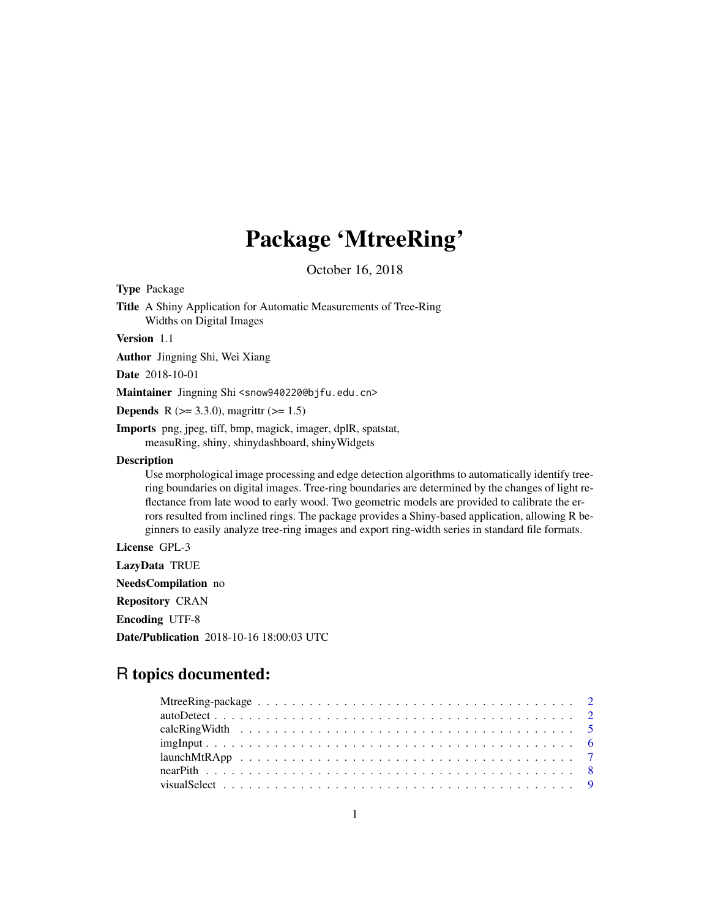## Package 'MtreeRing'

October 16, 2018

<span id="page-0-0"></span>Type Package

Title A Shiny Application for Automatic Measurements of Tree-Ring Widths on Digital Images

Version 1.1

Author Jingning Shi, Wei Xiang

Date 2018-10-01

Maintainer Jingning Shi <snow940220@bjfu.edu.cn>

**Depends** R ( $>= 3.3.0$ ), magrittr ( $>= 1.5$ )

Imports png, jpeg, tiff, bmp, magick, imager, dplR, spatstat, measuRing, shiny, shinydashboard, shinyWidgets

#### **Description**

Use morphological image processing and edge detection algorithms to automatically identify treering boundaries on digital images. Tree-ring boundaries are determined by the changes of light reflectance from late wood to early wood. Two geometric models are provided to calibrate the errors resulted from inclined rings. The package provides a Shiny-based application, allowing R beginners to easily analyze tree-ring images and export ring-width series in standard file formats.

License GPL-3

LazyData TRUE NeedsCompilation no Repository CRAN Encoding UTF-8 Date/Publication 2018-10-16 18:00:03 UTC

### R topics documented: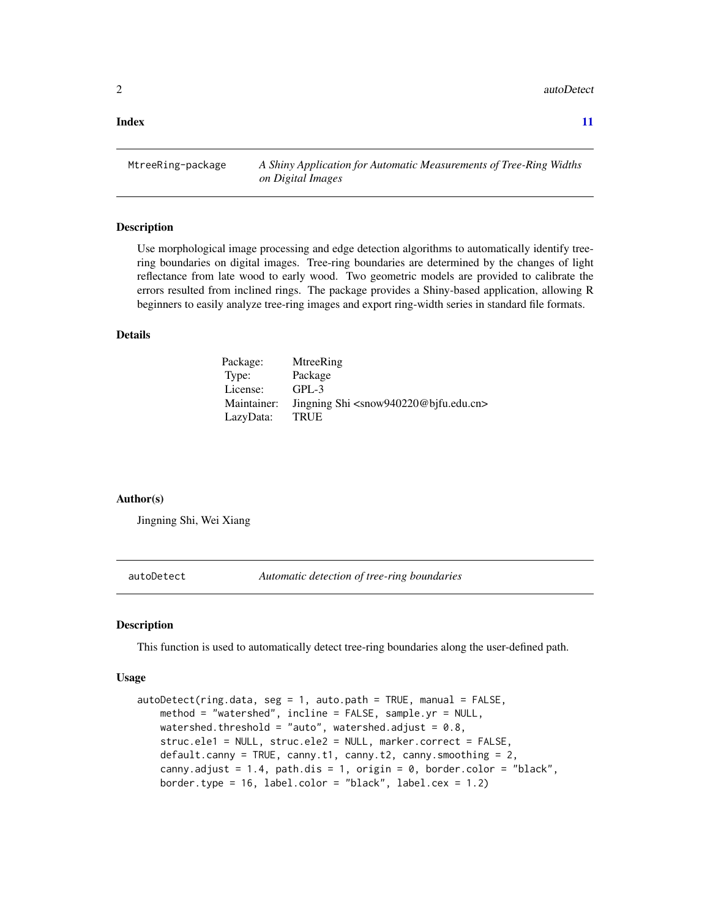<span id="page-1-0"></span>2 autoDetect and the state of the state of the state of the state of the state of the state of the state of the state of the state of the state of the state of the state of the state of the state of the state of the state

**Index** [11](#page-10-0)

MtreeRing-package *A Shiny Application for Automatic Measurements of Tree-Ring Widths on Digital Images*

#### Description

Use morphological image processing and edge detection algorithms to automatically identify treering boundaries on digital images. Tree-ring boundaries are determined by the changes of light reflectance from late wood to early wood. Two geometric models are provided to calibrate the errors resulted from inclined rings. The package provides a Shiny-based application, allowing R beginners to easily analyze tree-ring images and export ring-width series in standard file formats.

#### Details

| Package:    | MtreeRing                                                      |
|-------------|----------------------------------------------------------------|
| Type:       | Package                                                        |
| License:    | $GPL-3$                                                        |
| Maintainer: | Jingning Shi <snow940220@bifu.edu.cn></snow940220@bifu.edu.cn> |
| LazyData:   | <b>TRUE</b>                                                    |

#### Author(s)

Jingning Shi, Wei Xiang

autoDetect *Automatic detection of tree-ring boundaries*

#### **Description**

This function is used to automatically detect tree-ring boundaries along the user-defined path.

#### Usage

```
autoDetect(ring.data, seg = 1, auto.path = TRUE, manual = FALSE,method = "watershed", incline = FALSE, sample.yr = NULL,
   watershed.threshold = "auto", watershed.adjust = 0.8,
   struc.ele1 = NULL, struc.ele2 = NULL, marker.correct = FALSE,
   default.canny = TRUE, canny.t1, canny.t2, canny.smoothing = 2,
   canny.adjust = 1.4, path.dis = 1, origin = 0, border.color = "black",
   border.type = 16, label.color = "black", label.cex = 1.2)
```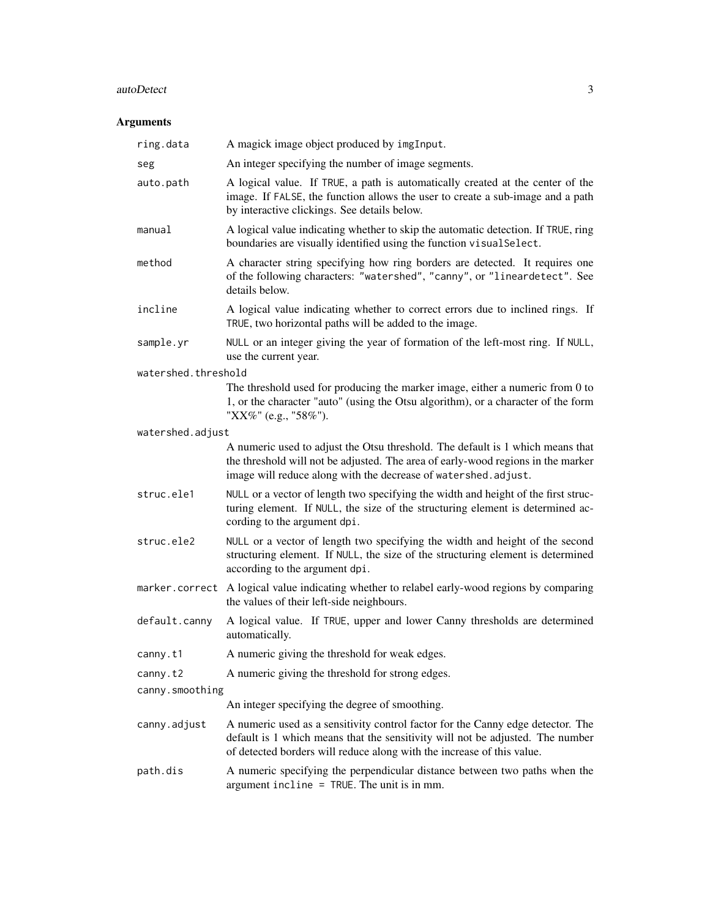#### autoDetect 3

| ring.data           | A magick image object produced by imgInput.                                                                                                                                                                                                 |
|---------------------|---------------------------------------------------------------------------------------------------------------------------------------------------------------------------------------------------------------------------------------------|
| seg                 | An integer specifying the number of image segments.                                                                                                                                                                                         |
| auto.path           | A logical value. If TRUE, a path is automatically created at the center of the<br>image. If FALSE, the function allows the user to create a sub-image and a path<br>by interactive clickings. See details below.                            |
| manual              | A logical value indicating whether to skip the automatic detection. If TRUE, ring<br>boundaries are visually identified using the function visual Select.                                                                                   |
| method              | A character string specifying how ring borders are detected. It requires one<br>of the following characters: "watershed", "canny", or "lineardetect". See<br>details below.                                                                 |
| incline             | A logical value indicating whether to correct errors due to inclined rings. If<br>TRUE, two horizontal paths will be added to the image.                                                                                                    |
| sample.yr           | NULL or an integer giving the year of formation of the left-most ring. If NULL,<br>use the current year.                                                                                                                                    |
| watershed.threshold |                                                                                                                                                                                                                                             |
|                     | The threshold used for producing the marker image, either a numeric from 0 to<br>1, or the character "auto" (using the Otsu algorithm), or a character of the form<br>"XX%" (e.g., "58%").                                                  |
| watershed.adjust    |                                                                                                                                                                                                                                             |
|                     | A numeric used to adjust the Otsu threshold. The default is 1 which means that<br>the threshold will not be adjusted. The area of early-wood regions in the marker<br>image will reduce along with the decrease of watershed.adjust.        |
| struc.ele1          | NULL or a vector of length two specifying the width and height of the first struc-<br>turing element. If NULL, the size of the structuring element is determined ac-<br>cording to the argument dpi.                                        |
| struc.ele2          | NULL or a vector of length two specifying the width and height of the second<br>structuring element. If NULL, the size of the structuring element is determined<br>according to the argument dpi.                                           |
|                     | marker.correct A logical value indicating whether to relabel early-wood regions by comparing<br>the values of their left-side neighbours.                                                                                                   |
| default.canny       | A logical value. If TRUE, upper and lower Canny thresholds are determined<br>automatically.                                                                                                                                                 |
| canny.t1            | A numeric giving the threshold for weak edges.                                                                                                                                                                                              |
| canny.t2            | A numeric giving the threshold for strong edges.                                                                                                                                                                                            |
| canny.smoothing     |                                                                                                                                                                                                                                             |
|                     | An integer specifying the degree of smoothing.                                                                                                                                                                                              |
| canny.adjust        | A numeric used as a sensitivity control factor for the Canny edge detector. The<br>default is 1 which means that the sensitivity will not be adjusted. The number<br>of detected borders will reduce along with the increase of this value. |
| path.dis            | A numeric specifying the perpendicular distance between two paths when the<br>argument incline = TRUE. The unit is in mm.                                                                                                                   |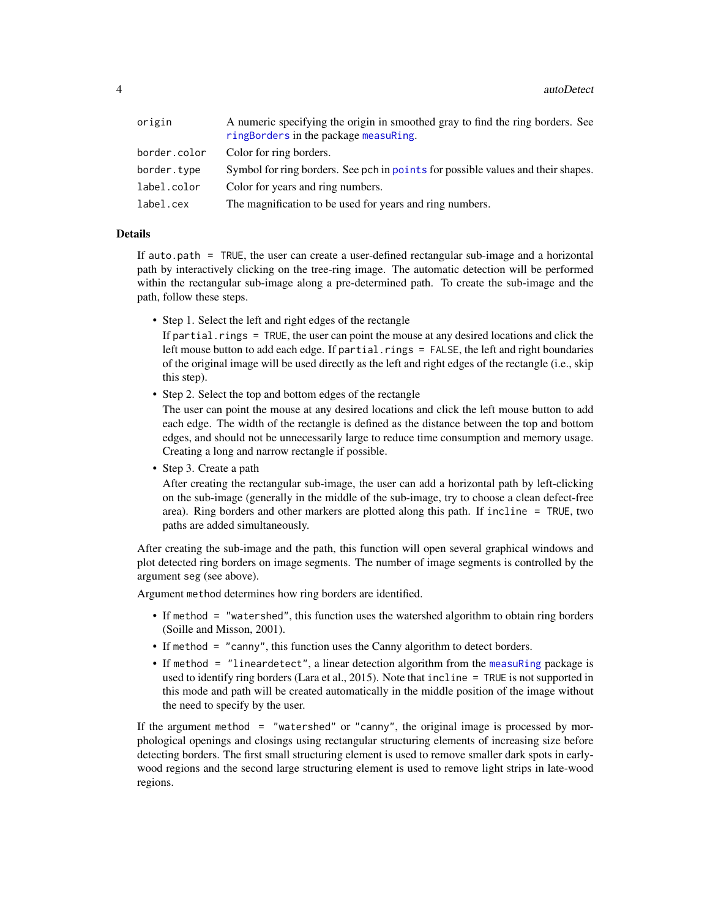<span id="page-3-0"></span>

| A numeric specifying the origin in smoothed gray to find the ring borders. See<br>ringBorders in the package measuRing. |
|-------------------------------------------------------------------------------------------------------------------------|
| Color for ring borders.                                                                                                 |
| Symbol for ring borders. See pch in points for possible values and their shapes.                                        |
| Color for years and ring numbers.                                                                                       |
| The magnification to be used for years and ring numbers.                                                                |
|                                                                                                                         |

#### **Details**

If auto.path = TRUE, the user can create a user-defined rectangular sub-image and a horizontal path by interactively clicking on the tree-ring image. The automatic detection will be performed within the rectangular sub-image along a pre-determined path. To create the sub-image and the path, follow these steps.

• Step 1. Select the left and right edges of the rectangle

If partial. rings  $=$  TRUE, the user can point the mouse at any desired locations and click the left mouse button to add each edge. If partial.rings  $=$  FALSE, the left and right boundaries of the original image will be used directly as the left and right edges of the rectangle (i.e., skip this step).

• Step 2. Select the top and bottom edges of the rectangle

The user can point the mouse at any desired locations and click the left mouse button to add each edge. The width of the rectangle is defined as the distance between the top and bottom edges, and should not be unnecessarily large to reduce time consumption and memory usage. Creating a long and narrow rectangle if possible.

• Step 3. Create a path

After creating the rectangular sub-image, the user can add a horizontal path by left-clicking on the sub-image (generally in the middle of the sub-image, try to choose a clean defect-free area). Ring borders and other markers are plotted along this path. If incline = TRUE, two paths are added simultaneously.

After creating the sub-image and the path, this function will open several graphical windows and plot detected ring borders on image segments. The number of image segments is controlled by the argument seg (see above).

Argument method determines how ring borders are identified.

- If method = "watershed", this function uses the watershed algorithm to obtain ring borders (Soille and Misson, 2001).
- If method = "canny", this function uses the Canny algorithm to detect borders.
- If method = "lineardetect", a linear detection algorithm from the [measuRing](#page-0-0) package is used to identify ring borders (Lara et al., 2015). Note that incline = TRUE is not supported in this mode and path will be created automatically in the middle position of the image without the need to specify by the user.

If the argument method  $=$  "watershed" or "canny", the original image is processed by morphological openings and closings using rectangular structuring elements of increasing size before detecting borders. The first small structuring element is used to remove smaller dark spots in earlywood regions and the second large structuring element is used to remove light strips in late-wood regions.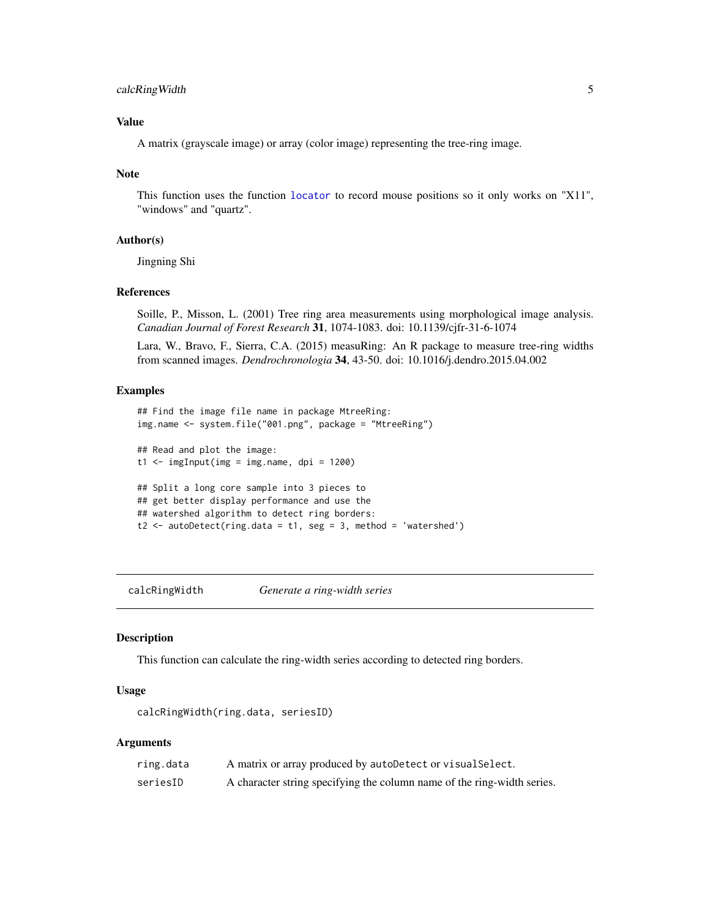#### <span id="page-4-0"></span>calcRingWidth 5

#### Value

A matrix (grayscale image) or array (color image) representing the tree-ring image.

#### Note

This function uses the function [locator](#page-0-0) to record mouse positions so it only works on "X11", "windows" and "quartz".

#### Author(s)

Jingning Shi

#### References

Soille, P., Misson, L. (2001) Tree ring area measurements using morphological image analysis. *Canadian Journal of Forest Research* 31, 1074-1083. doi: 10.1139/cjfr-31-6-1074

Lara, W., Bravo, F., Sierra, C.A. (2015) measuRing: An R package to measure tree-ring widths from scanned images. *Dendrochronologia* 34, 43-50. doi: 10.1016/j.dendro.2015.04.002

#### Examples

```
## Find the image file name in package MtreeRing:
img.name <- system.file("001.png", package = "MtreeRing")
## Read and plot the image:
t1 < - imgInput(img = img.name, dpi = 1200)
## Split a long core sample into 3 pieces to
## get better display performance and use the
## watershed algorithm to detect ring borders:
t2 <- autoDetect(ring.data = t1, seg = 3, method = 'watershed')
```
calcRingWidth *Generate a ring-width series*

#### **Description**

This function can calculate the ring-width series according to detected ring borders.

#### Usage

calcRingWidth(ring.data, seriesID)

| ring.data | A matrix or array produced by autoDetect or visual Select.              |
|-----------|-------------------------------------------------------------------------|
| seriesID  | A character string specifying the column name of the ring-width series. |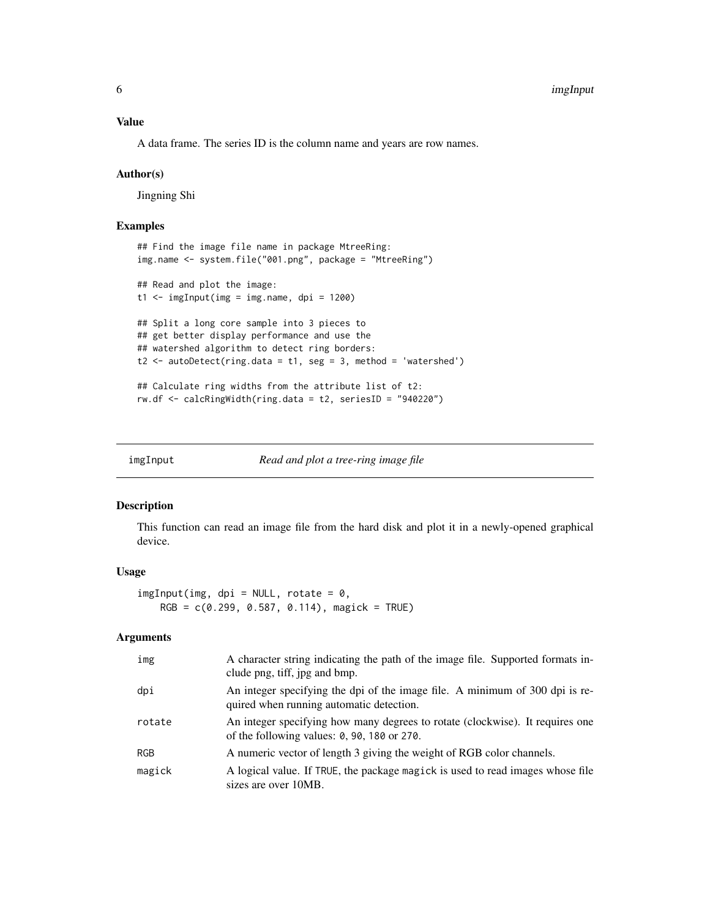#### <span id="page-5-0"></span>Value

A data frame. The series ID is the column name and years are row names.

#### Author(s)

Jingning Shi

#### Examples

```
## Find the image file name in package MtreeRing:
img.name <- system.file("001.png", package = "MtreeRing")
## Read and plot the image:
t1 <- imgInput(img = img.name, dpi = 1200)
## Split a long core sample into 3 pieces to
## get better display performance and use the
## watershed algorithm to detect ring borders:
t2 \le autoDetect(ring.data = t1, seg = 3, method = 'watershed')
## Calculate ring widths from the attribute list of t2:
rw.df <- calcRingWidth(ring.data = t2, seriesID = "940220")
```
<span id="page-5-1"></span>imgInput *Read and plot a tree-ring image file*

#### Description

This function can read an image file from the hard disk and plot it in a newly-opened graphical device.

#### Usage

 $imgInput(img, dpi = NULL, rotate = 0,$  $RGB = c(0.299, 0.587, 0.114)$ , magick = TRUE)

| img    | A character string indicating the path of the image file. Supported formats in-<br>clude png, tiff, jpg and bmp.                        |
|--------|-----------------------------------------------------------------------------------------------------------------------------------------|
| dpi    | An integer specifying the dpi of the image file. A minimum of 300 dpi is re-<br>quired when running automatic detection.                |
| rotate | An integer specifying how many degrees to rotate (clockwise). It requires one<br>of the following values: $0$ , $90$ , $180$ or $270$ . |
| RGB    | A numeric vector of length 3 giving the weight of RGB color channels.                                                                   |
| magick | A logical value. If TRUE, the package magick is used to read images whose file<br>sizes are over 10MB.                                  |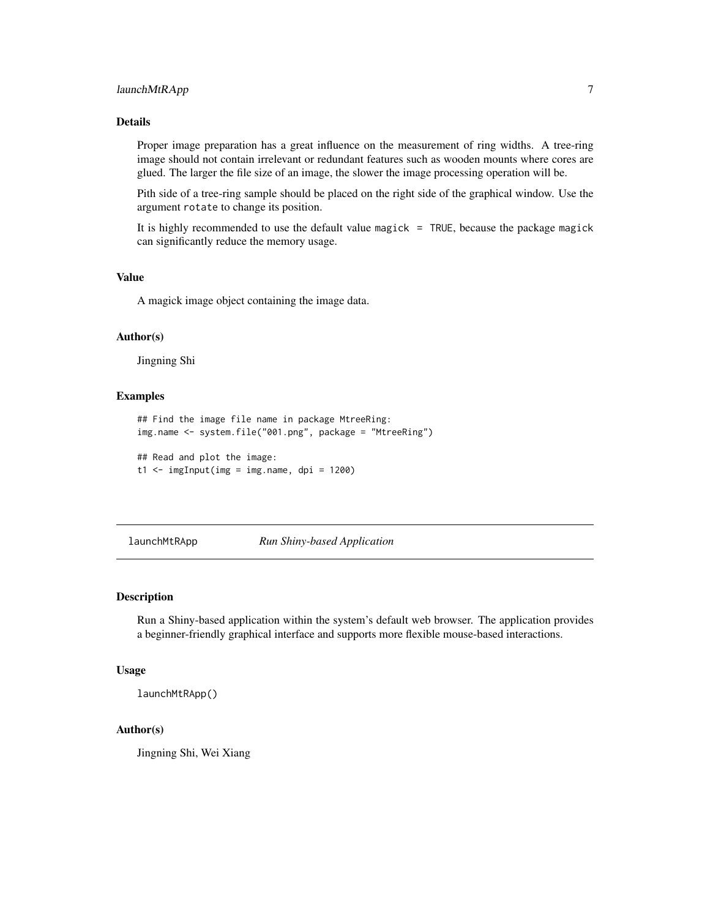#### <span id="page-6-0"></span>launchMtRApp 7

#### Details

Proper image preparation has a great influence on the measurement of ring widths. A tree-ring image should not contain irrelevant or redundant features such as wooden mounts where cores are glued. The larger the file size of an image, the slower the image processing operation will be.

Pith side of a tree-ring sample should be placed on the right side of the graphical window. Use the argument rotate to change its position.

It is highly recommended to use the default value magick = TRUE, because the package magick can significantly reduce the memory usage.

#### Value

A magick image object containing the image data.

#### Author(s)

Jingning Shi

#### Examples

```
## Find the image file name in package MtreeRing:
img.name <- system.file("001.png", package = "MtreeRing")
```

```
## Read and plot the image:
t1 < - imgInput(img = img.name, dpi = 1200)
```
launchMtRApp *Run Shiny-based Application*

#### Description

Run a Shiny-based application within the system's default web browser. The application provides a beginner-friendly graphical interface and supports more flexible mouse-based interactions.

#### Usage

launchMtRApp()

#### Author(s)

Jingning Shi, Wei Xiang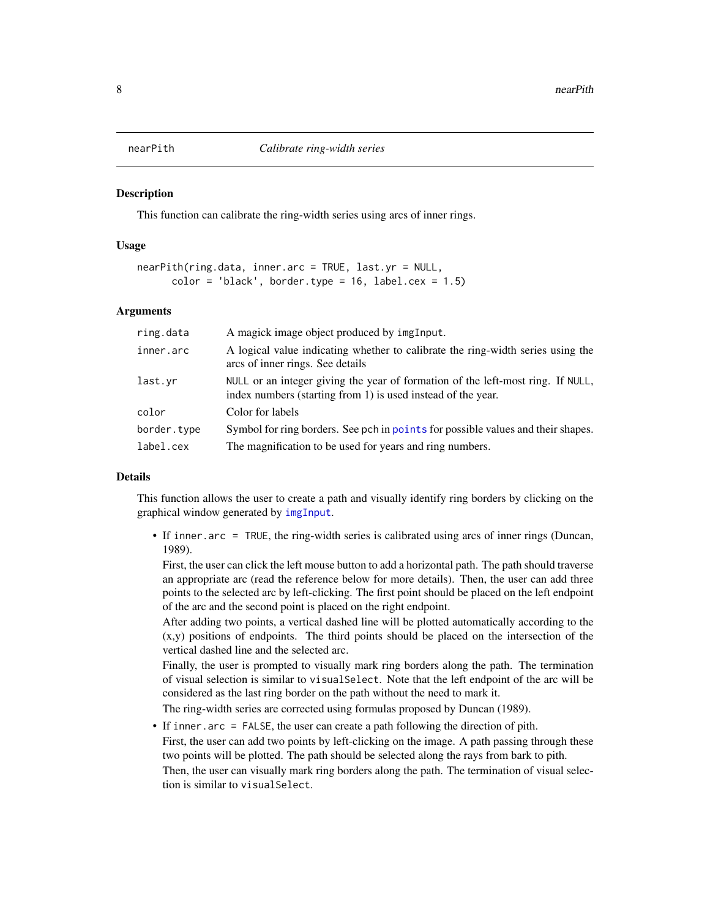<span id="page-7-0"></span>

#### **Description**

This function can calibrate the ring-width series using arcs of inner rings.

#### Usage

```
nearPith(ring.data, inner.arc = TRUE, last.yr = NULL,
     color = 'black', border-type = 16, label.cex = 1.5)
```
#### Arguments

| ring.data   | A magick image object produced by imgInput.                                                                                                     |
|-------------|-------------------------------------------------------------------------------------------------------------------------------------------------|
| inner.arc   | A logical value indicating whether to calibrate the ring-width series using the<br>arcs of inner rings. See details                             |
| last.vr     | NULL or an integer giving the year of formation of the left-most ring. If NULL,<br>index numbers (starting from 1) is used instead of the year. |
| color       | Color for labels                                                                                                                                |
| border.type | Symbol for ring borders. See pch in points for possible values and their shapes.                                                                |
| label.cex   | The magnification to be used for years and ring numbers.                                                                                        |

#### Details

This function allows the user to create a path and visually identify ring borders by clicking on the graphical window generated by [imgInput](#page-5-1).

• If inner.arc = TRUE, the ring-width series is calibrated using arcs of inner rings (Duncan, 1989).

First, the user can click the left mouse button to add a horizontal path. The path should traverse an appropriate arc (read the reference below for more details). Then, the user can add three points to the selected arc by left-clicking. The first point should be placed on the left endpoint of the arc and the second point is placed on the right endpoint.

After adding two points, a vertical dashed line will be plotted automatically according to the (x,y) positions of endpoints. The third points should be placed on the intersection of the vertical dashed line and the selected arc.

Finally, the user is prompted to visually mark ring borders along the path. The termination of visual selection is similar to visualSelect. Note that the left endpoint of the arc will be considered as the last ring border on the path without the need to mark it.

The ring-width series are corrected using formulas proposed by Duncan (1989).

• If inner.arc = FALSE, the user can create a path following the direction of pith.

First, the user can add two points by left-clicking on the image. A path passing through these two points will be plotted. The path should be selected along the rays from bark to pith.

Then, the user can visually mark ring borders along the path. The termination of visual selection is similar to visualSelect.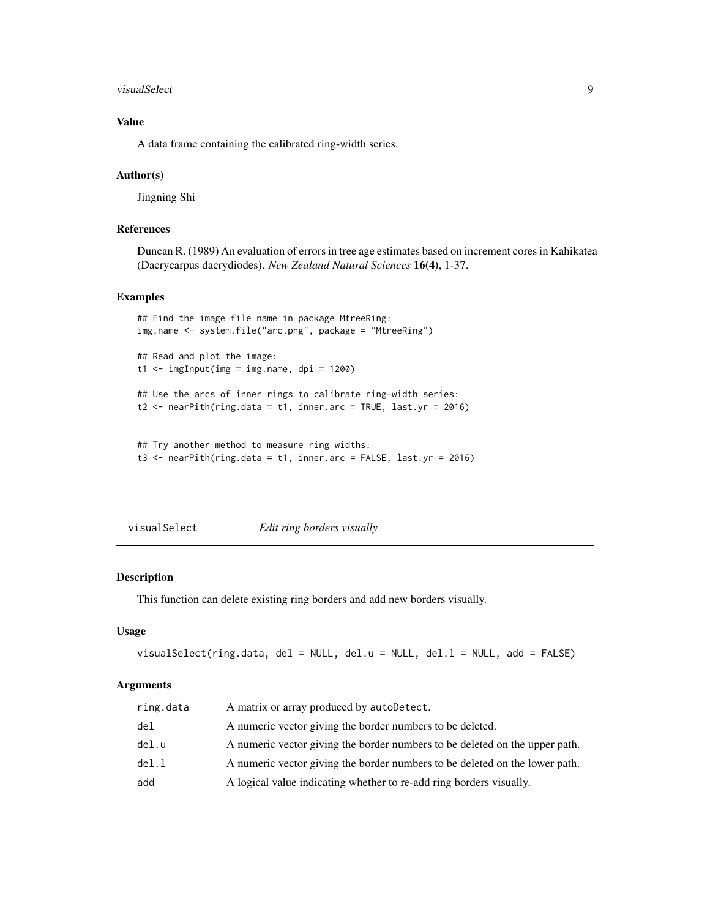#### <span id="page-8-0"></span>visualSelect 9

#### Value

A data frame containing the calibrated ring-width series.

#### Author(s)

Jingning Shi

#### References

Duncan R. (1989) An evaluation of errors in tree age estimates based on increment cores in Kahikatea (Dacrycarpus dacrydiodes). *New Zealand Natural Sciences* 16(4), 1-37.

#### Examples

```
## Find the image file name in package MtreeRing:
img.name <- system.file("arc.png", package = "MtreeRing")
## Read and plot the image:
t1 <- imgInput(img = img.name, dpi = 1200)
## Use the arcs of inner rings to calibrate ring-width series:
t2 \leq - nearPith(ring.data = t1, inner.arc = TRUE, last.yr = 2016)
## Try another method to measure ring widths:
t3 <- nearPith(ring.data = t1, inner.arc = FALSE, last.yr = 2016)
```
visualSelect *Edit ring borders visually*

#### Description

This function can delete existing ring borders and add new borders visually.

#### Usage

```
visualSelect(ring.data, del = NULL, del.u = NULL, del.l = NULL, add = FALSE)
```

| ring.data | A matrix or array produced by autoDetect.                                   |
|-----------|-----------------------------------------------------------------------------|
| del       | A numeric vector giving the border numbers to be deleted.                   |
| del.u     | A numeric vector giving the border numbers to be deleted on the upper path. |
| del.l     | A numeric vector giving the border numbers to be deleted on the lower path. |
| add       | A logical value indicating whether to re-add ring borders visually.         |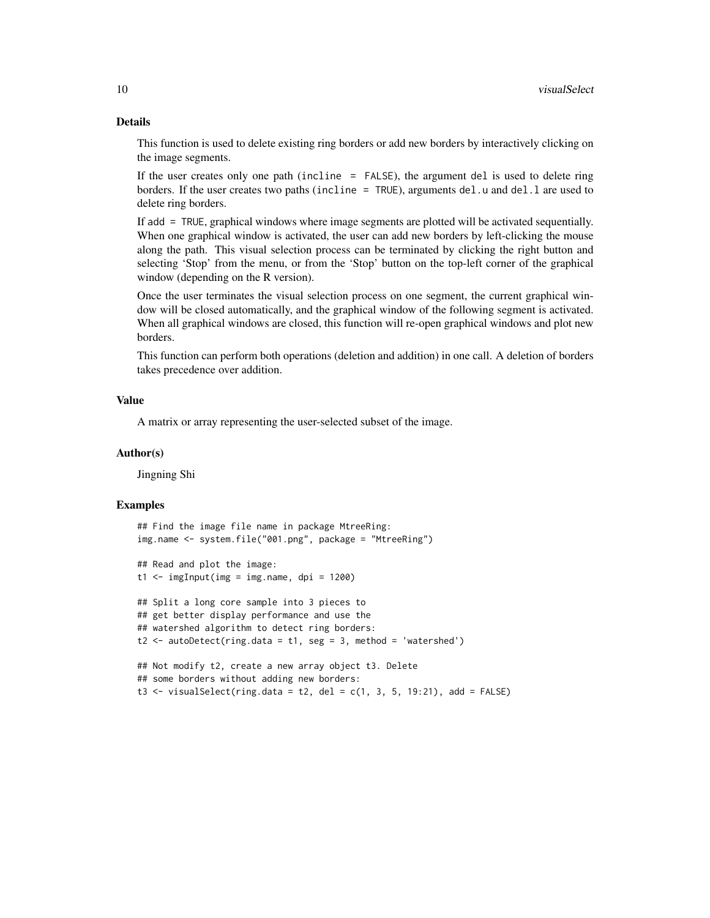#### Details

This function is used to delete existing ring borders or add new borders by interactively clicking on the image segments.

If the user creates only one path (incline = FALSE), the argument del is used to delete ring borders. If the user creates two paths (incline =  $TRUE$ ), arguments del.u and del.l are used to delete ring borders.

If add = TRUE, graphical windows where image segments are plotted will be activated sequentially. When one graphical window is activated, the user can add new borders by left-clicking the mouse along the path. This visual selection process can be terminated by clicking the right button and selecting 'Stop' from the menu, or from the 'Stop' button on the top-left corner of the graphical window (depending on the R version).

Once the user terminates the visual selection process on one segment, the current graphical window will be closed automatically, and the graphical window of the following segment is activated. When all graphical windows are closed, this function will re-open graphical windows and plot new borders.

This function can perform both operations (deletion and addition) in one call. A deletion of borders takes precedence over addition.

#### Value

A matrix or array representing the user-selected subset of the image.

#### Author(s)

Jingning Shi

#### Examples

```
## Find the image file name in package MtreeRing:
img.name <- system.file("001.png", package = "MtreeRing")
## Read and plot the image:
t1 < - imgInput(img = img.name, dpi = 1200)
## Split a long core sample into 3 pieces to
## get better display performance and use the
## watershed algorithm to detect ring borders:
t2 < - autoDetect(ring.data = t1, seg = 3, method = 'watershed')
## Not modify t2, create a new array object t3. Delete
## some borders without adding new borders:
t3 \le visualSelect(ring.data = t2, del = c(1, 3, 5, 19:21), add = FALSE)
```